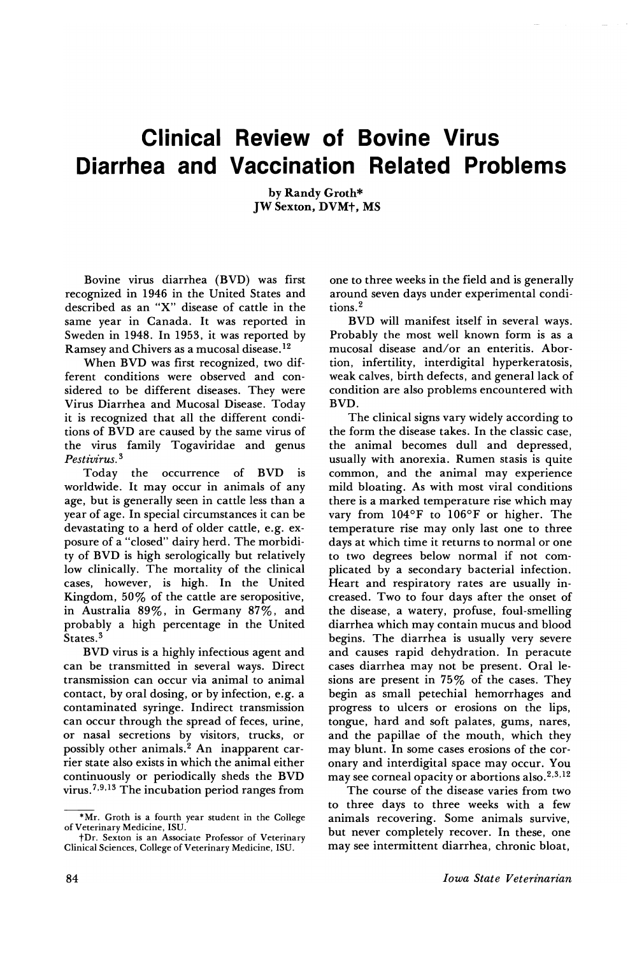## Clinical Review of Bovine Virus Diarrhea and Vaccination Related Problems

by Randy Groth\* JW Sexton, DVM+, MS

Bovine virus diarrhea (BVD) was first recognized in 1946 in the United States and described as an "X" disease of cattle in the same year in Canada. It was reported in Sweden in 1948. In 1953, it was reported by Ramsey and Chivers as a mucosal disease. <sup>12</sup>

When BVD was first recognized, two different conditions were observed and considered to be different diseases. They were Virus Diarrhea and Mucosal Disease. Today it is recognized that all the different conditions of BVD are caused by the same virus of the virus family Togaviridae and genus *Pestivirus.* <sup>3</sup>

Today the occurrence of BVD IS worldwide. It may occur in animals of any age, but is generally seen in cattle less than a year of age. In special circumstances it can be devastating to a herd of older cattle, e.g. exposure of a "closed" dairy herd. The morbidity of BVD is high serologically but relatively low clinically. The mortality of the clinical cases, however, is high. In the United Kingdom, 50% of the cattle are seropositive, in Australia 89%, in Germany 87%, and probably a high percentage in the United States.<sup>3</sup>

BVD virus is a highly infectious agent and can be transmitted in several ways. Direct transmission can occur via animal to animal contact, by oral dosing, or by infection, e.g. a contaminated syringe. Indirect transmission can occur through the spread of feces, urine, or nasal secretions by visitors, trucks, or possibly other animals.<sup>2</sup> An inapparent carrier state also exists in which the animal either continuously or periodically sheds the BVD virus. 7,9,13 The incubation period ranges from

one to three weeks in the field and is generally around seven days under experimental conditions. <sup>2</sup>

BVD will manifest itself in several ways. Probably the most well known form is as a mucosal disease and/or an enteritis. Abortion, infertility, interdigital hyperkeratosis, weak calves, birth defects, and general lack of condition are also problems encountered with BVD.

The clinical signs vary widely according to the form the disease takes. In the classic case, the animal becomes dull and depressed, usually with anorexia. Rumen stasis is quite common, and the animal may experience mild bloating. As with most viral conditions there is a marked temperature rise which may vary from 104°F to 106°F or higher. The temperature rise may only last one to three days at which time it returns to normal or one to two degrees below normal if not complicated by a secondary bacterial infection. Heart and respiratory rates are usually increased. Two to four days after the onset of the disease, a watery, profuse, foul-smelling diarrhea which may contain mucus and blood begins. The diarrhea is usually very severe and causes rapid dehydration. In peracute cases diarrhea may not be present. Oral lesions are present in 75% of the cases. They begin as small petechial hemorrhages and progress to ulcers or erosions on the lips, tongue, hard and soft palates, gums, nares, and the papillae of the mouth, which they may blunt. In some cases erosions of the coronary and interdigital space may occur. You may see corneal opacity or abortions also.<sup>2,3,12</sup>

The course of the disease varies from two to three days to three weeks with a few animals recovering. Some animals survive, but never completely recover. In these, one may see intermittent diarrhea, chronic bloat,

<sup>\*</sup>Mr. Groth is a fourth year student in the College of Veterinary Medicine, ISU.

t Dr. Sexton is an Associate Professor of Veterinary Clinical Sciences, College of Veterinary Medicine, ISU.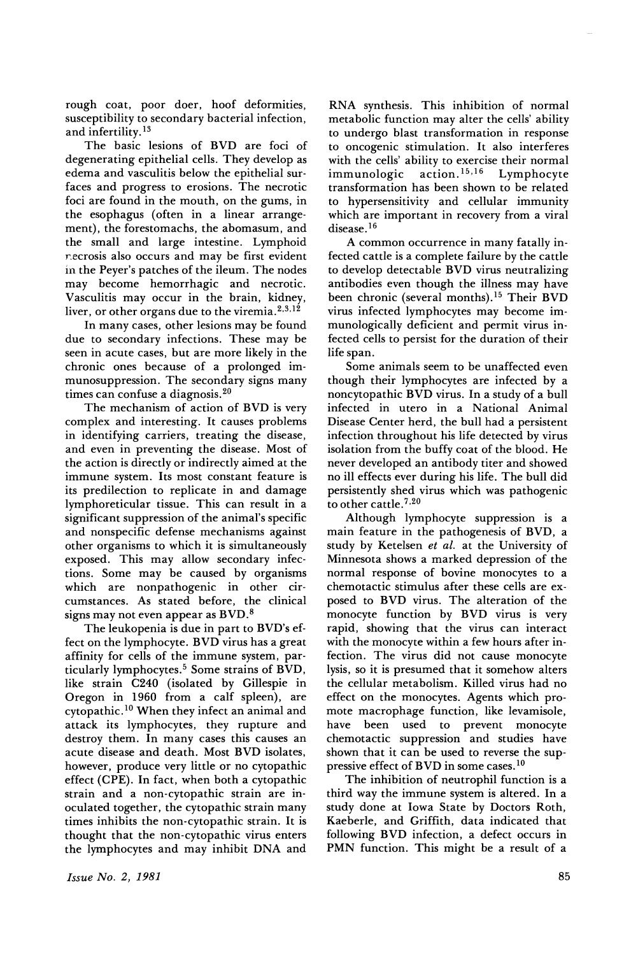rough coat, poor doer, hoof deformities, susceptibility to secondary bacterial infection, and infertility. <sup>13</sup>

The basic lesions of BVD are foci of degenerating epithelial cells. They develop as edema and vasculitis below the epithelial surfaces and progress to erosions. The necrotic foci are found in the mouth, on the gums, in the esophagus (often in a linear arrangement), the forestomachs, the abomasum, and the small and large intestine. Lymphoid recrosis also occurs and may be first evident in the Peyer's patches of the ileum. The nodes may become hemorrhagic and necrotic. Vasculitis may occur in the brain, kidney, liver, or other organs due to the viremia.<sup>2,3,12</sup>

In many cases, other lesions may be found due to secondary infections. These may be seen in acute cases, but are more likely in the chronic ones because of a prolonged immunosuppression. The secondary signs many times can confuse a diagnosis. <sup>20</sup>

The mechanism of action of BVD is very complex and interesting. It causes problems in identifying carriers, treating the disease, and even in preventing the disease. Most of the action is directly or indirectly aimed at the immune system. Its most constant feature is its predilection to replicate in and damage lymphoreticular tissue. This can result in a significant suppression of the animal's specific and nonspecific defense mechanisms against other organisms to which it is simultaneously exposed. This may allow secondary infections. Some may be caused by organisms which are nonpathogenic in other circumstances. As stated before, the clinical signs may not even appear as BVD.8

The leukopenia is due in part to BVD's effect on the lymphocyte. BVD virus has a great affinity for cells of the immune system, particularly lymphocytes.5 Some strains of BVD, like strain C240 (isolated by Gillespie in Oregon in 1960 from a calf spleen), are cytopathic. <sup>10</sup> When they infect an animal and attack its lymphocytes, they rupture and destroy them. In many cases this causes an acute disease and death. Most BVD isolates, however, produce very little or no cytopathic effect (CPE). In fact, when both a cytopathic strain and a non-cytopathic strain are inoculated together, the cytopathic strain many times inhibits the non-cytopathic strain. It is thought that the non-cytopathic virus enters the lymphocytes and may inhibit DNA and RNA synthesis. This inhibition of normal metabolic function may alter the cells' ability to undergo blast transformation in response to oncogenic stimulation. It also interferes with the cells' ability to exercise their normal<br>immunologic  $\arctan^{15,16}$  Lymphocyte immunologic action.<sup>15,16</sup> Lymphocyte transformation has been shown to be related to hypersensitivity and cellular immunity which are important in recovery from a viral disease.<sup>16</sup>

A common occurrence in many fatally infected cattle is a complete failure by the cattle to develop detectable BVD virus neutralizing antibodies even though the illness may have been chronic (several months).15 Their BVD virus infected lymphocytes may become immunologically deficient and permit virus infeeted cells to persist for the duration of their life span.

Some animals seem to be unaffected even though their lymphocytes are infected by a noncytopathic BVD virus. In a study of a bull infected in utero in a National Animal Disease Center herd, the bull had a persistent infection throughout his life detected by virus isolation from the buffy coat of the blood. He never developed an antibody titer and showed no ill effects ever during his life. The bull did persistently shed virus which was pathogenic to other cattle.<sup>7,20</sup>

Although lymphocyte suppression is a main feature in the pathogenesis of BVD, a study by Ketelsen *et ai.* at the University of Minnesota shows a marked depression of the normal response of bovine monocytes to a chemotactic stimulus after these cells are exposed to BVD virus. The alteration of the monocyte function by BVD virus is very rapid, showing that the virus can interact with the monocyte within a few hours after infection. The virus did not cause monocyte lysis, so it is presumed that it somehow alters the cellular metabolism. Killed virus had no effect on the monocytes. Agents which promote macrophage function, like levamisole,<br>have been used to prevent monocyte been used to prevent monocyte chemotactic suppression and studies have shown that it can be used to reverse the suppressive effect of BVD in some cases.<sup>10</sup>

The inhibition of neutrophil function is a third way the immune system is altered. In a study done at Iowa State by Doctors Roth, Kaeberle, and Griffith, data indicated that following BVD infection, a defect occurs in PMN function. This might be a result of a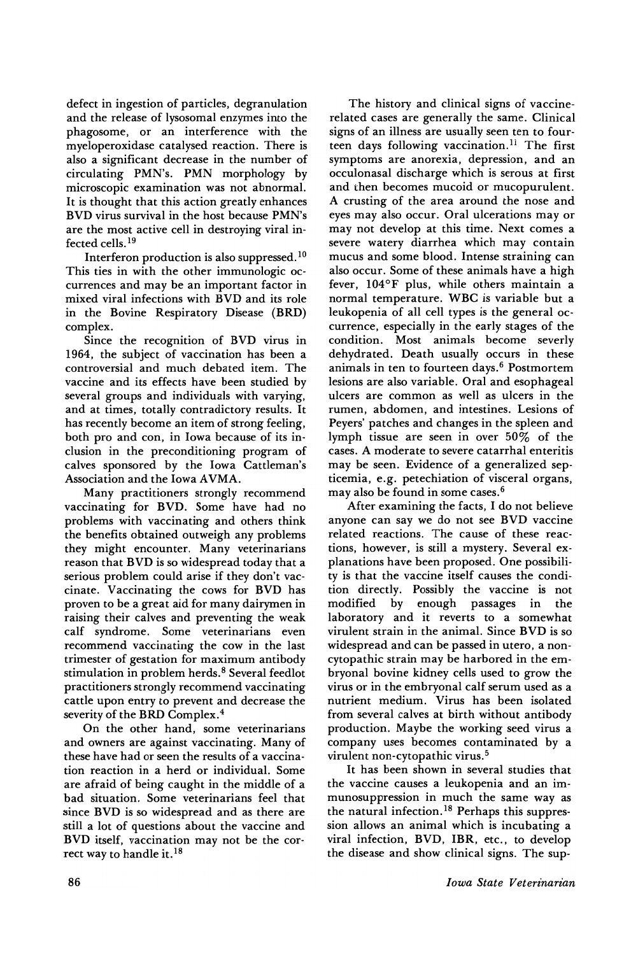defect in ingestion of particles, degranulation and the release of lysosomal enzymes into the phagosome, or an interference with the myeloperoxidase catalysed reaction. There is also a significant decrease in the number of circulating PMN's. PMN morphology by microscopic examination was not abnormal. It is thought that this action greatly enhances BVD virus survival in the host because PMN's are the most active cell in destroying viral infected cells. 19

Interferon production is also suppressed. <sup>10</sup> This ties in with the other immunologic occurrences and may be an important factor in mixed viral infections with BVD and its role in the Bovine Respiratory Disease (BRD) complex.

Since the recognition of BVD virus in 1964, the subject of vaccination has been a controversial and much debated item. The vaccine and its effects have been studied by several groups and individuals with varying, and at times, totally contradictory results. It has recently become an item of strong feeling, both pro and con, in Iowa because of its inclusion in the preconditioning program of calves sponsored by the Iowa Cattleman's Association and the Iowa AVMA.

Many practitioners strongly recommend vaccinating for BVD. Some have had no problems with vaccinating and others think the benefits obtained outweigh any problems they might encounter. Many veterinarians reason that BVD is so widespread today that a serious problem could arise if they don't vaccinate. Vaccinating the cows for BVD has proven to be a great aid for many dairymen in raising their calves and preventing the weak calf syndrome. Some veterinarians even recommend vaccinating the cow in the last trimester of gestation for maximum antibody stimulation in problem herds.<sup>8</sup> Several feedlot practitioners strongly recommend vaccinating cattle upon entry to prevent and decrease the severity of the BRD Complex.4

On the other hand, some veterinarians and owners are against vaccinating. Many of these have had or seen the results of a vaccination reaction in a herd or individual. Some are afraid of being caught in the middle of a bad situation. Some veterinarians feel that since BVD is so widespread and as there are still a lot of questions about the vaccine and BVD itself, vaccination may not be the correct way to handle it. $^{18}$ 

The history and clinical signs of vaccinerelated cases are generally the same. Clinical signs of an illness are usually seen ten to fourteen days following vaccination.<sup>11</sup> The first symptoms are anorexia, depression, and an occulonasal discharge which is serous at first and then becomes mucoid or mucopurulent. A crusting of the area around the nose and eyes may also occur. Oral ulcerations mayor may not develop at this time. Next comes a severe watery diarrhea which may contain mucus and some blood. Intense straining can also occur. Some of these animals have a high fever, 104°F plus, while others maintain a normal temperature. WBC is variable but a leukopenia of all cell types is the general occurrence, especially in the early stages of the condition. Most animals become severly dehydrated. Death usually occurs in these animals in ten to fourteen days. <sup>6</sup> Postmortem lesions are also variable. Oral and esophageal ulcers are common as well as ulcers in the rumen, abdomen, and intestines. Lesions of Peyers' patches and changes in the spleen and lymph tissue are seen in over 50% of the cases. A moderate to severe catarrhal enteritis may be seen. Evidence of a generalized septicemia, e.g. petechiation of visceral organs, may also be found in some cases. <sup>6</sup>

After examining the facts, I do not believe anyone can say we do not see BVD vaccine related reactions. The cause of these reactions, however, is still a mystery. Several explanations have been proposed. One possibility is that the vaccine itself causes the condition directly. Possibly the vaccine is not modified by enough passages in the laboratory and it reverts to a somewhat virulent strain in the animal. Since BVD is so widespread and can be passed in utero, a noncytopathic strain may be harbored in the embryonal bovine kidney cells used to grow the virus or in the embryonal calf serum used as a nutrient medium. Virus has been isolated from several calves at birth without antibody production. Maybe the working seed virus a company uses becomes contaminated by a virulent non-cytopathic virus. <sup>5</sup>

It has been shown in several studies that the vaccine causes a leukopenia and an immunosuppression in much the same way as the natural infection.<sup>18</sup> Perhaps this suppression allows an animal which is incubating a viral infection, BVD, IBR, etc., to develop the disease and show clinical signs. The sup